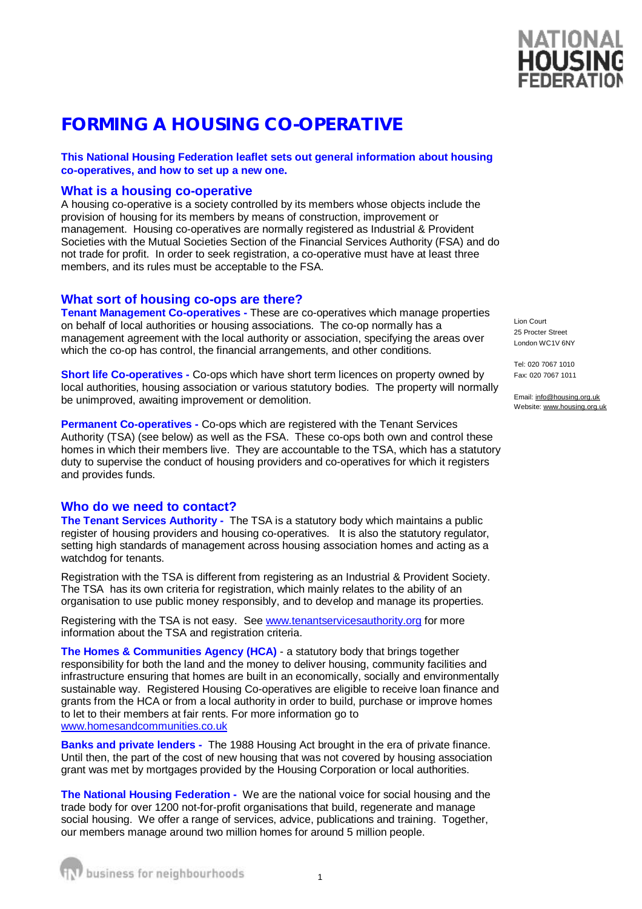# **FORMING A HOUSING CO-OPERATIVE**

## **This National Housing Federation leaflet sets out general information about housing co-operatives, and how to set up a new one.**

# **What is a housing co-operative**

A housing co-operative is a society controlled by its members whose objects include the provision of housing for its members by means of construction, improvement or management. Housing co-operatives are normally registered as Industrial & Provident Societies with the Mutual Societies Section of the Financial Services Authority (FSA) and do not trade for profit. In order to seek registration, a co-operative must have at least three members, and its rules must be acceptable to the FSA.

## **What sort of housing co-ops are there?**

**Tenant Management Co-operatives -** These are co-operatives which manage properties on behalf of local authorities or housing associations. The co-op normally has a management agreement with the local authority or association, specifying the areas over which the co-op has control, the financial arrangements, and other conditions.

**Short life Co-operatives -** Co-ops which have short term licences on property owned by local authorities, housing association or various statutory bodies. The property will normally be unimproved, awaiting improvement or demolition.

**Permanent Co-operatives -** Co-ops which are registered with the Tenant Services Authority (TSA) (see below) as well as the FSA. These co-ops both own and control these homes in which their members live. They are accountable to the TSA, which has a statutory duty to supervise the conduct of housing providers and co-operatives for which it registers and provides funds.

### **Who do we need to contact?**

**The Tenant Services Authority -** The TSA is a statutory body which maintains a public register of housing providers and housing co-operatives. It is also the statutory regulator, setting high standards of management across housing association homes and acting as a watchdog for tenants.

Registration with the TSA is different from registering as an Industrial & Provident Society. The TSA has its own criteria for registration, which mainly relates to the ability of an organisation to use public money responsibly, and to develop and manage its properties.

Registering with the TSA is not easy. See [www.tenantservicesauthority.org](http://www.tenantservicesauthority.org) for more information about the TSA and registration criteria.

**The Homes & Communities Agency (HCA)** - a statutory body that brings together responsibility for both the land and the money to deliver housing, community facilities and infrastructure ensuring that homes are built in an economically, socially and environmentally sustainable way. Registered Housing Co-operatives are eligible to receive loan finance and grants from the HCA or from a local authority in order to build, purchase or improve homes to let to their members at fair rents. For more information go to [www.homesandcommunities.co.uk](http://www.homesandcommunities.co.uk) 

**Banks and private lenders -** The 1988 Housing Act brought in the era of private finance. Until then, the part of the cost of new housing that was not covered by housing association grant was met by mortgages provided by the Housing Corporation or local authorities.

**The National Housing Federation -** We are the national voice for social housing and the trade body for over 1200 not-for-profit organisations that build, regenerate and manage social housing. We offer a range of services, advice, publications and training. Together, our members manage around two million homes for around 5 million people.

Lion Court 25 Procter Street London WC1V 6NY

Tel: 020 7067 1010 Fax: 020 7067 1011

Email: [info@housing.org.uk](mailto:info@housing.org.uk) Website: [www.housing.org.uk](http://www.housing.org.uk)

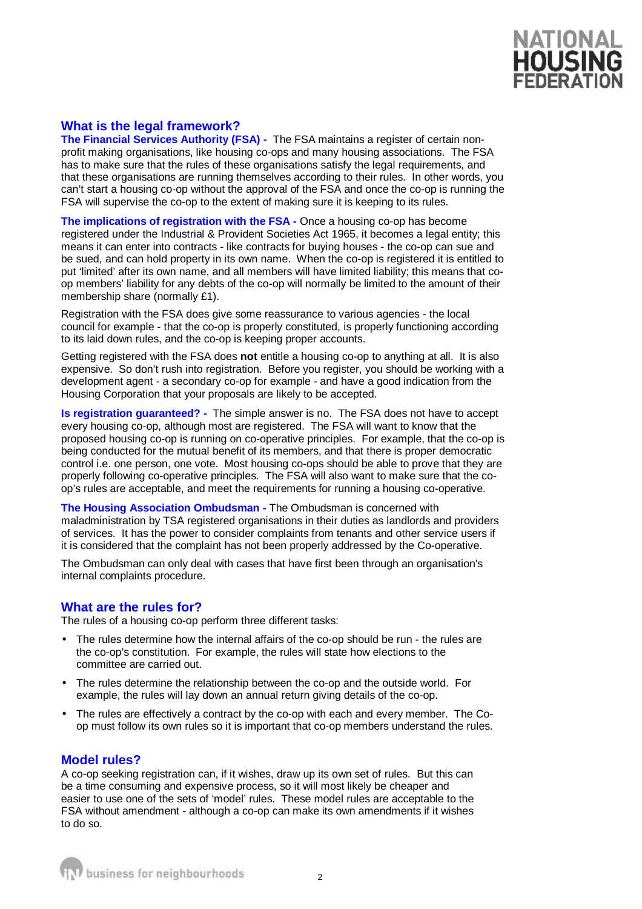

# **What is the legal framework?**

**The Financial Services Authority (FSA) -** The FSA maintains a register of certain nonprofit making organisations, like housing co-ops and many housing associations. The FSA has to make sure that the rules of these organisations satisfy the legal requirements, and that these organisations are running themselves according to their rules. In other words, you can't start a housing co-op without the approval of the FSA and once the co-op is running the FSA will supervise the co-op to the extent of making sure it is keeping to its rules.

**The implications of registration with the FSA -** Once a housing co-op has become registered under the Industrial & Provident Societies Act 1965, it becomes a legal entity; this means it can enter into contracts - like contracts for buying houses - the co-op can sue and be sued, and can hold property in its own name. When the co-op is registered it is entitled to put 'limited' after its own name, and all members will have limited liability; this means that coop members' liability for any debts of the co-op will normally be limited to the amount of their membership share (normally £1).

Registration with the FSA does give some reassurance to various agencies - the local council for example - that the co-op is properly constituted, is properly functioning according to its laid down rules, and the co-op is keeping proper accounts.

Getting registered with the FSA does **not** entitle a housing co-op to anything at all. It is also expensive. So don't rush into registration. Before you register, you should be working with a development agent - a secondary co-op for example - and have a good indication from the Housing Corporation that your proposals are likely to be accepted.

**Is registration guaranteed? -** The simple answer is no. The FSA does not have to accept every housing co-op, although most are registered. The FSA will want to know that the proposed housing co-op is running on co-operative principles. For example, that the co-op is being conducted for the mutual benefit of its members, and that there is proper democratic control i.e. one person, one vote. Most housing co-ops should be able to prove that they are properly following co-operative principles. The FSA will also want to make sure that the coop's rules are acceptable, and meet the requirements for running a housing co-operative.

**The Housing Association Ombudsman -** The Ombudsman is concerned with maladministration by TSA registered organisations in their duties as landlords and providers of services. It has the power to consider complaints from tenants and other service users if it is considered that the complaint has not been properly addressed by the Co-operative.

The Ombudsman can only deal with cases that have first been through an organisation's internal complaints procedure.

#### **What are the rules for?**

The rules of a housing co-op perform three different tasks:

- The rules determine how the internal affairs of the co-op should be run the rules are the co-op's constitution. For example, the rules will state how elections to the committee are carried out.
- The rules determine the relationship between the co-op and the outside world. For example, the rules will lay down an annual return giving details of the co-op.
- The rules are effectively a contract by the co-op with each and every member. The Coop must follow its own rules so it is important that co-op members understand the rules.

### **Model rules?**

A co-op seeking registration can, if it wishes, draw up its own set of rules. But this can be a time consuming and expensive process, so it will most likely be cheaper and easier to use one of the sets of 'model' rules. These model rules are acceptable to the FSA without amendment - although a co-op can make its own amendments if it wishes to do so.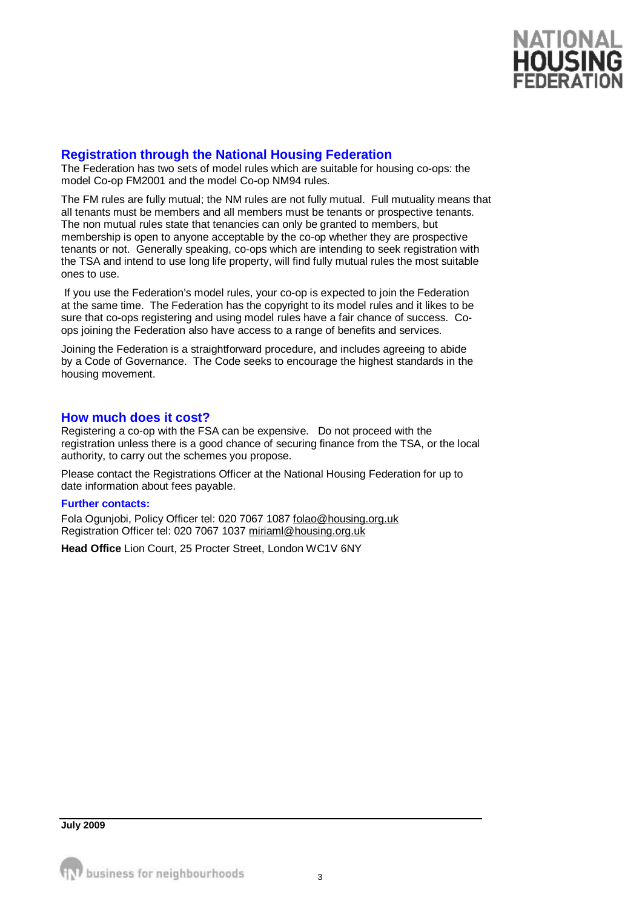

# **Registration through the National Housing Federation**

The Federation has two sets of model rules which are suitable for housing co-ops: the model Co-op FM2001 and the model Co-op NM94 rules.

The FM rules are fully mutual; the NM rules are not fully mutual. Full mutuality means that all tenants must be members and all members must be tenants or prospective tenants. The non mutual rules state that tenancies can only be granted to members, but membership is open to anyone acceptable by the co-op whether they are prospective tenants or not. Generally speaking, co-ops which are intending to seek registration with the TSA and intend to use long life property, will find fully mutual rules the most suitable ones to use.

If you use the Federation's model rules, your co-op is expected to join the Federation at the same time. The Federation has the copyright to its model rules and it likes to be sure that co-ops registering and using model rules have a fair chance of success. Coops joining the Federation also have access to a range of benefits and services.

Joining the Federation is a straightforward procedure, and includes agreeing to abide by a Code of Governance. The Code seeks to encourage the highest standards in the housing movement.

### **How much does it cost?**

Registering a co-op with the FSA can be expensive. Do not proceed with the registration unless there is a good chance of securing finance from the TSA, or the local authority, to carry out the schemes you propose.

Please contact the Registrations Officer at the National Housing Federation for up to date information about fees payable.

#### **Further contacts:**

Fola Ogunjobi, Policy Officer tel: 020 7067 1087 [folao@housing.org.uk](mailto:folao@housing.org.uk) Registration Officer tel: 020 7067 1037 [miriaml@housing.org.uk](mailto:miriaml@housing.org.uk)

**Head Office** Lion Court, 25 Procter Street, London WC1V 6NY

**July 2009**